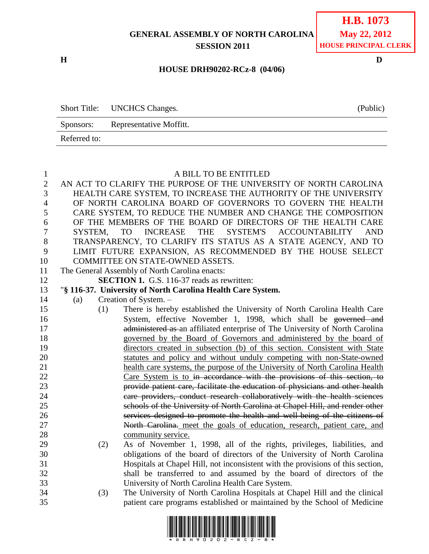**GENERAL ASSEMBLY OF NORTH CAROLINA SESSION 2011**

**H D**

#### **HOUSE DRH90202-RCz-8 (04/06)**

|              | Short Title: UNCHCS Changes. | (Public) |
|--------------|------------------------------|----------|
| Sponsors:    | Representative Moffitt.      |          |
| Referred to: |                              |          |

## A BILL TO BE ENTITLED

 AN ACT TO CLARIFY THE PURPOSE OF THE UNIVERSITY OF NORTH CAROLINA HEALTH CARE SYSTEM, TO INCREASE THE AUTHORITY OF THE UNIVERSITY OF NORTH CAROLINA BOARD OF GOVERNORS TO GOVERN THE HEALTH CARE SYSTEM, TO REDUCE THE NUMBER AND CHANGE THE COMPOSITION OF THE MEMBERS OF THE BOARD OF DIRECTORS OF THE HEALTH CARE SYSTEM, TO INCREASE THE SYSTEM'S ACCOUNTABILITY AND TRANSPARENCY, TO CLARIFY ITS STATUS AS A STATE AGENCY, AND TO LIMIT FUTURE EXPANSION, AS RECOMMENDED BY THE HOUSE SELECT COMMITTEE ON STATE-OWNED ASSETS. The General Assembly of North Carolina enacts: **SECTION 1.** G.S. 116-37 reads as rewritten: "**§ 116-37. University of North Carolina Health Care System.** (a) Creation of System. – (1) There is hereby established the University of North Carolina Health Care System, effective November 1, 1998, which shall be governed and administered as an affiliated enterprise of The University of North Carolina governed by the Board of Governors and administered by the board of directors created in subsection (b) of this section. Consistent with State statutes and policy and without unduly competing with non-State-owned health care systems, the purpose of the University of North Carolina Health Care System is to in accordance with the provisions of this section, to provide patient care, facilitate the education of physicians and other health care providers, conduct research collaboratively with the health sciences schools of the University of North Carolina at Chapel Hill, and render other services designed to promote the health and well-being of the citizens of North Carolina. meet the goals of education, research, patient care, and community service. (2) As of November 1, 1998, all of the rights, privileges, liabilities, and obligations of the board of directors of the University of North Carolina Hospitals at Chapel Hill, not inconsistent with the provisions of this section, shall be transferred to and assumed by the board of directors of the University of North Carolina Health Care System. (3) The University of North Carolina Hospitals at Chapel Hill and the clinical patient care programs established or maintained by the School of Medicine

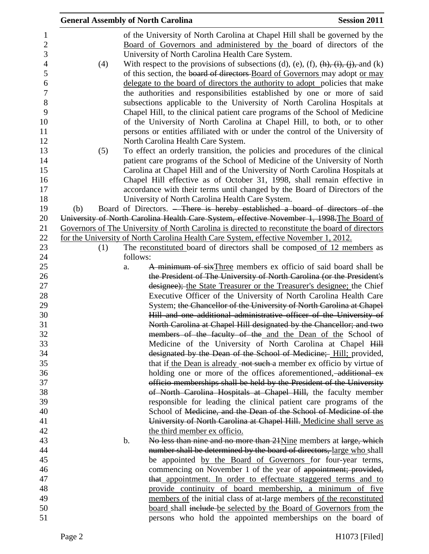|     |          | <b>General Assembly of North Carolina</b>                                                                                                                                                               | <b>Session 2011</b> |
|-----|----------|---------------------------------------------------------------------------------------------------------------------------------------------------------------------------------------------------------|---------------------|
|     |          | of the University of North Carolina at Chapel Hill shall be governed by the<br>Board of Governors and administered by the board of directors of the<br>University of North Carolina Health Care System. |                     |
| (4) |          | With respect to the provisions of subsections (d), (e), (f), $\frac{h}{r}$ , $\frac{i}{r}$ , $\frac{j}{r}$ , and (k)                                                                                    |                     |
|     |          | of this section, the board of directors Board of Governors may adopt or may                                                                                                                             |                     |
|     |          | delegate to the board of directors the authority to adopt policies that make                                                                                                                            |                     |
|     |          | the authorities and responsibilities established by one or more of said                                                                                                                                 |                     |
|     |          | subsections applicable to the University of North Carolina Hospitals at                                                                                                                                 |                     |
|     |          | Chapel Hill, to the clinical patient care programs of the School of Medicine<br>of the University of North Carolina at Chapel Hill, to both, or to other                                                |                     |
|     |          | persons or entities affiliated with or under the control of the University of                                                                                                                           |                     |
|     |          | North Carolina Health Care System.                                                                                                                                                                      |                     |
| (5) |          | To effect an orderly transition, the policies and procedures of the clinical                                                                                                                            |                     |
|     |          | patient care programs of the School of Medicine of the University of North                                                                                                                              |                     |
|     |          | Carolina at Chapel Hill and of the University of North Carolina Hospitals at                                                                                                                            |                     |
|     |          | Chapel Hill effective as of October 31, 1998, shall remain effective in                                                                                                                                 |                     |
|     |          | accordance with their terms until changed by the Board of Directors of the<br>University of North Carolina Health Care System.                                                                          |                     |
| (b) |          | Board of Directors. <del>There is hereby established a board of directors of the</del>                                                                                                                  |                     |
|     |          | University of North Carolina Health Care System, effective November 1, 1998. The Board of                                                                                                               |                     |
|     |          | Governors of The University of North Carolina is directed to reconstitute the board of directors                                                                                                        |                     |
|     |          | for the University of North Carolina Health Care System, effective November 1, 2012.                                                                                                                    |                     |
| (1) |          | The reconstituted board of directors shall be composed of 12 members as                                                                                                                                 |                     |
|     | follows: |                                                                                                                                                                                                         |                     |
|     | a.       | A minimum of sixThree members ex officio of said board shall be                                                                                                                                         |                     |
|     |          | the President of The University of North Carolina (or the President's                                                                                                                                   |                     |
|     |          | designee); the State Treasurer or the Treasurer's designee; the Chief<br>Executive Officer of the University of North Carolina Health Care                                                              |                     |
|     |          | System; the Chancellor of the University of North Carolina at Chapel                                                                                                                                    |                     |
|     |          | Hill and one additional administrative officer of the University of                                                                                                                                     |                     |
|     |          | North Carolina at Chapel Hill designated by the Chancellor; and two                                                                                                                                     |                     |
|     |          | members of the faculty of the and the Dean of the School of                                                                                                                                             |                     |
|     |          | Medicine of the University of North Carolina at Chapel Hill                                                                                                                                             |                     |
|     |          | designated by the Dean of the School of Medicine; Hill; provided,                                                                                                                                       |                     |
|     |          | that if the Dean is already not such a member ex officio by virtue of                                                                                                                                   |                     |
|     |          | holding one or more of the offices aforementioned, additional ex-                                                                                                                                       |                     |
|     |          | officio memberships shall be held by the President of the University                                                                                                                                    |                     |
|     |          | of North Carolina Hospitals at Chapel Hill, the faculty member<br>responsible for leading the clinical patient care programs of the                                                                     |                     |
|     |          | School of Medicine, and the Dean of the School of Medicine of the                                                                                                                                       |                     |
|     |          | University of North Carolina at Chapel Hill. Medicine shall serve as                                                                                                                                    |                     |
|     |          | the third member ex officio.                                                                                                                                                                            |                     |
|     | b.       | No less than nine and no more than 21 Nine members at large, which                                                                                                                                      |                     |
|     |          | number shall be determined by the board of directors, large who shall                                                                                                                                   |                     |
|     |          | be appointed by the Board of Governors for four-year terms,                                                                                                                                             |                     |
|     |          | commencing on November 1 of the year of appointment; provided,                                                                                                                                          |                     |
|     |          | that appointment. In order to effectuate staggered terms and to                                                                                                                                         |                     |
|     |          | provide continuity of board membership, a minimum of five                                                                                                                                               |                     |
|     |          | members of the initial class of at-large members of the reconstituted<br>board shall include be selected by the Board of Governors from the                                                             |                     |
|     |          | persons who hold the appointed memberships on the board of                                                                                                                                              |                     |
|     |          |                                                                                                                                                                                                         |                     |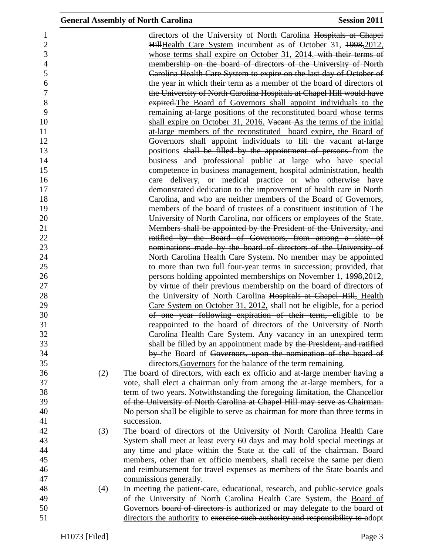| 1              |     | directors of the University of North Carolina Hospitals at Chapel              |
|----------------|-----|--------------------------------------------------------------------------------|
| $\overline{2}$ |     | HillHealth Care System incumbent as of October 31, 1998, 2012,                 |
| 3              |     | whose terms shall expire on October 31, 2014. with their terms of              |
| $\overline{4}$ |     | membership on the board of directors of the University of North                |
| 5              |     | Carolina Health Care System to expire on the last day of October of            |
| 6              |     | the year in which their term as a member of the board of directors of          |
| $\overline{7}$ |     | the University of North Carolina Hospitals at Chapel Hill would have           |
| 8              |     | expired. The Board of Governors shall appoint individuals to the               |
| 9              |     | remaining at-large positions of the reconstituted board whose terms            |
| 10             |     | shall expire on October 31, 2016. Vacant As the terms of the initial           |
| 11             |     | at-large members of the reconstituted board expire, the Board of               |
| 12             |     | Governors shall appoint individuals to fill the vacant at-large                |
| 13             |     | positions shall be filled by the appointment of persons from the               |
| 14             |     | business and professional public at large who have special                     |
| 15             |     | competence in business management, hospital administration, health             |
| 16             |     | care delivery, or medical practice or who otherwise have                       |
| 17             |     | demonstrated dedication to the improvement of health care in North             |
| 18             |     | Carolina, and who are neither members of the Board of Governors,               |
| 19             |     | members of the board of trustees of a constituent institution of The           |
| 20             |     | University of North Carolina, nor officers or employees of the State.          |
| 21             |     | Members shall be appointed by the President of the University, and             |
| 22             |     | ratified by the Board of Governors, from among a slate of                      |
| 23             |     | nominations made by the board of directors of the University of                |
| 24             |     | North Carolina Health Care System. No member may be appointed                  |
| 25             |     | to more than two full four-year terms in succession; provided, that            |
| 26             |     | persons holding appointed memberships on November 1, 1998, 2012,               |
| 27             |     | by virtue of their previous membership on the board of directors of            |
| 28             |     | the University of North Carolina Hospitals at Chapel Hill, Health              |
| 29             |     | Care System on October 31, 2012, shall not be eligible, for a period           |
| 30             |     | of one year following expiration of their term, eligible to be                 |
| 31             |     | reappointed to the board of directors of the University of North               |
| 32             |     | Carolina Health Care System. Any vacancy in an unexpired term                  |
| 33             |     | shall be filled by an appointment made by the President, and ratified          |
| 34             |     | by the Board of Governors, upon the nomination of the board of                 |
| 35             |     | directors, Governors for the balance of the term remaining.                    |
| 36             | (2) | The board of directors, with each ex officio and at-large member having a      |
| 37             |     | vote, shall elect a chairman only from among the at-large members, for a       |
| 38             |     | term of two years. Notwithstanding the foregoing limitation, the Chancellor    |
| 39             |     | of the University of North Carolina at Chapel Hill may serve as Chairman.      |
| 40             |     | No person shall be eligible to serve as chairman for more than three terms in  |
| 41             |     | succession.                                                                    |
| 42             | (3) | The board of directors of the University of North Carolina Health Care         |
| 43             |     | System shall meet at least every 60 days and may hold special meetings at      |
| 44             |     | any time and place within the State at the call of the chairman. Board         |
| 45             |     | members, other than ex officio members, shall receive the same per diem        |
| 46             |     | and reimbursement for travel expenses as members of the State boards and       |
| 47             |     | commissions generally.                                                         |
| 48             | (4) | In meeting the patient-care, educational, research, and public-service goals   |
| 49             |     | of the University of North Carolina Health Care System, the Board of           |
| 50             |     | Governors board of directors is authorized or may delegate to the board of     |
| 51             |     | directors the authority to exercise such authority and responsibility to adopt |
|                |     |                                                                                |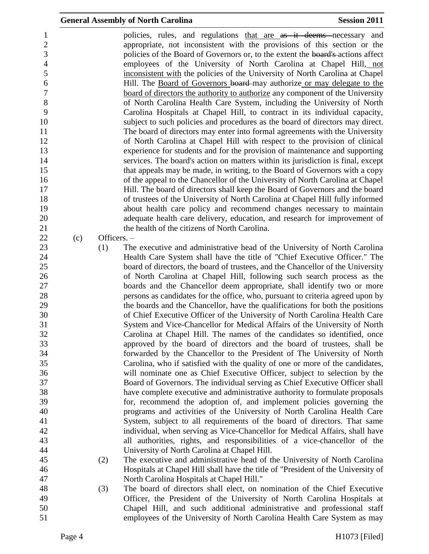| $\mathbf{1}$     |     |             | policies, rules, and regulations that are as it deems necessary and              |
|------------------|-----|-------------|----------------------------------------------------------------------------------|
| $\overline{2}$   |     |             | appropriate, not inconsistent with the provisions of this section or the         |
| 3                |     |             | policies of the Board of Governors or, to the extent the board's actions affect  |
| $\overline{4}$   |     |             | employees of the University of North Carolina at Chapel Hill, not                |
| 5                |     |             | inconsistent with the policies of the University of North Carolina at Chapel     |
| 6                |     |             | Hill. The Board of Governors board may authorize or may delegate to the          |
| $\boldsymbol{7}$ |     |             | board of directors the authority to authorize any component of the University    |
| 8                |     |             | of North Carolina Health Care System, including the University of North          |
| 9                |     |             | Carolina Hospitals at Chapel Hill, to contract in its individual capacity,       |
| 10               |     |             | subject to such policies and procedures as the board of directors may direct.    |
| 11               |     |             | The board of directors may enter into formal agreements with the University      |
| 12               |     |             | of North Carolina at Chapel Hill with respect to the provision of clinical       |
| 13               |     |             | experience for students and for the provision of maintenance and supporting      |
| 14               |     |             | services. The board's action on matters within its jurisdiction is final, except |
| 15               |     |             | that appeals may be made, in writing, to the Board of Governors with a copy      |
| 16               |     |             | of the appeal to the Chancellor of the University of North Carolina at Chapel    |
| 17               |     |             | Hill. The board of directors shall keep the Board of Governors and the board     |
| 18               |     |             | of trustees of the University of North Carolina at Chapel Hill fully informed    |
| 19               |     |             | about health care policy and recommend changes necessary to maintain             |
| 20               |     |             | adequate health care delivery, education, and research for improvement of        |
| 21               |     |             | the health of the citizens of North Carolina.                                    |
| 22               | (c) | Officers. - |                                                                                  |
| 23               |     | (1)         | The executive and administrative head of the University of North Carolina        |
| 24               |     |             | Health Care System shall have the title of "Chief Executive Officer." The        |
| 25               |     |             | board of directors, the board of trustees, and the Chancellor of the University  |
| 26               |     |             | of North Carolina at Chapel Hill, following such search process as the           |
| 27               |     |             | boards and the Chancellor deem appropriate, shall identify two or more           |
| 28               |     |             | persons as candidates for the office, who, pursuant to criteria agreed upon by   |
| 29               |     |             | the boards and the Chancellor, have the qualifications for both the positions    |
| 30               |     |             | of Chief Executive Officer of the University of North Carolina Health Care       |
| 31               |     |             | System and Vice-Chancellor for Medical Affairs of the University of North        |
| 32               |     |             | Carolina at Chapel Hill. The names of the candidates so identified, once         |
| 33               |     |             | approved by the board of directors and the board of trustees, shall be           |
| 34               |     |             | forwarded by the Chancellor to the President of The University of North          |
| 35               |     |             | Carolina, who if satisfied with the quality of one or more of the candidates,    |
| 36               |     |             | will nominate one as Chief Executive Officer, subject to selection by the        |
| 37               |     |             | Board of Governors. The individual serving as Chief Executive Officer shall      |
| 38               |     |             | have complete executive and administrative authority to formulate proposals      |
| 39               |     |             | for, recommend the adoption of, and implement policies governing the             |
| 40               |     |             | programs and activities of the University of North Carolina Health Care          |
| 41               |     |             | System, subject to all requirements of the board of directors. That same         |
| 42               |     |             | individual, when serving as Vice-Chancellor for Medical Affairs, shall have      |
| 43               |     |             | all authorities, rights, and responsibilities of a vice-chancellor of the        |
| 44               |     |             | University of North Carolina at Chapel Hill.                                     |
| 45               |     | (2)         | The executive and administrative head of the University of North Carolina        |
| 46               |     |             | Hospitals at Chapel Hill shall have the title of "President of the University of |
| 47               |     |             | North Carolina Hospitals at Chapel Hill."                                        |
| 48               |     | (3)         | The board of directors shall elect, on nomination of the Chief Executive         |
| 49               |     |             | Officer, the President of the University of North Carolina Hospitals at          |
| 50               |     |             | Chapel Hill, and such additional administrative and professional staff           |
| 51               |     |             | employees of the University of North Carolina Health Care System as may          |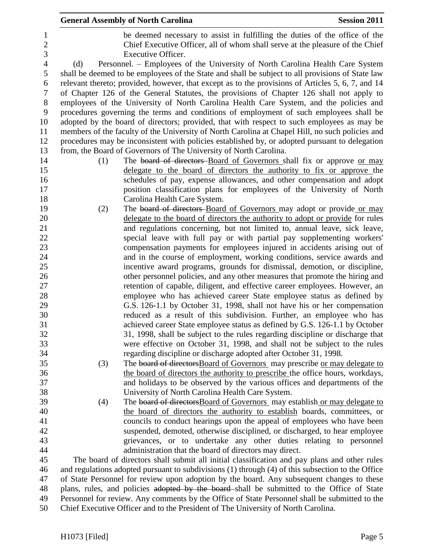|                |     | <b>General Assembly of North Carolina</b>                                                                                                               | <b>Session 2011</b> |
|----------------|-----|---------------------------------------------------------------------------------------------------------------------------------------------------------|---------------------|
| 1              |     | be deemed necessary to assist in fulfilling the duties of the office of the                                                                             |                     |
| $\overline{c}$ |     | Chief Executive Officer, all of whom shall serve at the pleasure of the Chief                                                                           |                     |
| 3              |     | Executive Officer.                                                                                                                                      |                     |
| $\overline{4}$ | (d) | Personnel. – Employees of the University of North Carolina Health Care System                                                                           |                     |
| 5              |     | shall be deemed to be employees of the State and shall be subject to all provisions of State law                                                        |                     |
| 6              |     | relevant thereto; provided, however, that except as to the provisions of Articles 5, 6, 7, and 14                                                       |                     |
| $\tau$         |     | of Chapter 126 of the General Statutes, the provisions of Chapter 126 shall not apply to                                                                |                     |
| $8\,$          |     | employees of the University of North Carolina Health Care System, and the policies and                                                                  |                     |
| 9              |     | procedures governing the terms and conditions of employment of such employees shall be                                                                  |                     |
| 10             |     | adopted by the board of directors; provided, that with respect to such employees as may be                                                              |                     |
| 11             |     | members of the faculty of the University of North Carolina at Chapel Hill, no such policies and                                                         |                     |
| 12             |     | procedures may be inconsistent with policies established by, or adopted pursuant to delegation                                                          |                     |
| 13             |     | from, the Board of Governors of The University of North Carolina.                                                                                       |                     |
| 14             | (1) | The board of directors Board of Governors shall fix or approve or may                                                                                   |                     |
| 15             |     | delegate to the board of directors the authority to fix or approve the                                                                                  |                     |
| 16             |     | schedules of pay, expense allowances, and other compensation and adopt                                                                                  |                     |
| 17             |     | position classification plans for employees of the University of North                                                                                  |                     |
| 18             |     | Carolina Health Care System.                                                                                                                            |                     |
| 19             | (2) |                                                                                                                                                         |                     |
| 20             |     | The board of directors Board of Governors may adopt or provide or may<br>delegate to the board of directors the authority to adopt or provide for rules |                     |
| 21             |     | and regulations concerning, but not limited to, annual leave, sick leave,                                                                               |                     |
| 22             |     | special leave with full pay or with partial pay supplementing workers'                                                                                  |                     |
| 23             |     | compensation payments for employees injured in accidents arising out of                                                                                 |                     |
| 24             |     | and in the course of employment, working conditions, service awards and                                                                                 |                     |
| 25             |     | incentive award programs, grounds for dismissal, demotion, or discipline,                                                                               |                     |
| 26             |     | other personnel policies, and any other measures that promote the hiring and                                                                            |                     |
| 27             |     | retention of capable, diligent, and effective career employees. However, an                                                                             |                     |
| 28             |     | employee who has achieved career State employee status as defined by                                                                                    |                     |
| 29             |     | G.S. 126-1.1 by October 31, 1998, shall not have his or her compensation                                                                                |                     |
| 30             |     | reduced as a result of this subdivision. Further, an employee who has                                                                                   |                     |
| 31             |     | achieved career State employee status as defined by G.S. 126-1.1 by October                                                                             |                     |
| 32             |     | 31, 1998, shall be subject to the rules regarding discipline or discharge that                                                                          |                     |
| 33             |     | were effective on October 31, 1998, and shall not be subject to the rules                                                                               |                     |
| 34             |     | regarding discipline or discharge adopted after October 31, 1998.                                                                                       |                     |
| 35             | (3) | The board of directors Board of Governors may prescribe or may delegate to                                                                              |                     |
| 36             |     | the board of directors the authority to prescribe the office hours, workdays,                                                                           |                     |
| 37             |     | and holidays to be observed by the various offices and departments of the                                                                               |                     |
| 38             |     | University of North Carolina Health Care System.                                                                                                        |                     |
| 39             | (4) | The board of directors Board of Governors may establish or may delegate to                                                                              |                     |
| 40             |     | the board of directors the authority to establish boards, committees, or                                                                                |                     |
| 41             |     | councils to conduct hearings upon the appeal of employees who have been                                                                                 |                     |
| 42             |     | suspended, demoted, otherwise disciplined, or discharged, to hear employee                                                                              |                     |
| 43             |     | grievances, or to undertake any other duties relating to personnel                                                                                      |                     |
| 44             |     | administration that the board of directors may direct.                                                                                                  |                     |
| 45             |     | The board of directors shall submit all initial classification and pay plans and other rules                                                            |                     |
| 46             |     | and regulations adopted pursuant to subdivisions (1) through (4) of this subsection to the Office                                                       |                     |
| 47             |     | of State Personnel for review upon adoption by the board. Any subsequent changes to these                                                               |                     |
| 48             |     | plans, rules, and policies adopted by the board-shall be submitted to the Office of State                                                               |                     |
| 49             |     | Personnel for review. Any comments by the Office of State Personnel shall be submitted to the                                                           |                     |
| 50             |     | Chief Executive Officer and to the President of The University of North Carolina.                                                                       |                     |
|                |     |                                                                                                                                                         |                     |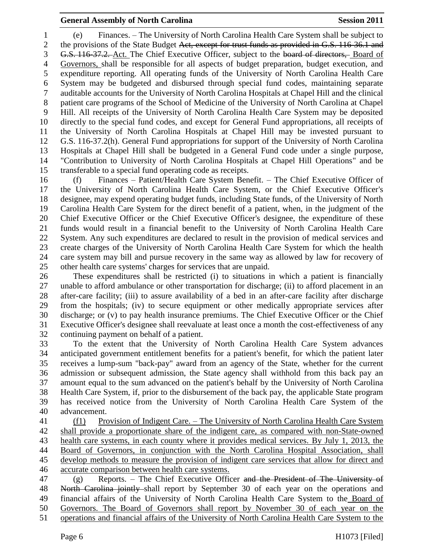# **General Assembly of North Carolina Session 2011**

 (e) Finances. – The University of North Carolina Health Care System shall be subject to 2 the provisions of the State Budget Act, except for trust funds as provided in G.S. 116-36.1 and G.S. 116-37.2. Act. The Chief Executive Officer, subject to the board of directors, Board of Governors, shall be responsible for all aspects of budget preparation, budget execution, and expenditure reporting. All operating funds of the University of North Carolina Health Care System may be budgeted and disbursed through special fund codes, maintaining separate auditable accounts for the University of North Carolina Hospitals at Chapel Hill and the clinical patient care programs of the School of Medicine of the University of North Carolina at Chapel Hill. All receipts of the University of North Carolina Health Care System may be deposited directly to the special fund codes, and except for General Fund appropriations, all receipts of the University of North Carolina Hospitals at Chapel Hill may be invested pursuant to G.S. 116-37.2(h). General Fund appropriations for support of the University of North Carolina Hospitals at Chapel Hill shall be budgeted in a General Fund code under a single purpose, "Contribution to University of North Carolina Hospitals at Chapel Hill Operations" and be transferable to a special fund operating code as receipts.

 (f) Finances – Patient/Health Care System Benefit. – The Chief Executive Officer of the University of North Carolina Health Care System, or the Chief Executive Officer's designee, may expend operating budget funds, including State funds, of the University of North Carolina Health Care System for the direct benefit of a patient, when, in the judgment of the Chief Executive Officer or the Chief Executive Officer's designee, the expenditure of these funds would result in a financial benefit to the University of North Carolina Health Care System. Any such expenditures are declared to result in the provision of medical services and create charges of the University of North Carolina Health Care System for which the health care system may bill and pursue recovery in the same way as allowed by law for recovery of other health care systems' charges for services that are unpaid.

 These expenditures shall be restricted (i) to situations in which a patient is financially unable to afford ambulance or other transportation for discharge; (ii) to afford placement in an after-care facility; (iii) to assure availability of a bed in an after-care facility after discharge from the hospitals; (iv) to secure equipment or other medically appropriate services after discharge; or (v) to pay health insurance premiums. The Chief Executive Officer or the Chief Executive Officer's designee shall reevaluate at least once a month the cost-effectiveness of any continuing payment on behalf of a patient.

 To the extent that the University of North Carolina Health Care System advances anticipated government entitlement benefits for a patient's benefit, for which the patient later receives a lump-sum "back-pay" award from an agency of the State, whether for the current admission or subsequent admission, the State agency shall withhold from this back pay an amount equal to the sum advanced on the patient's behalf by the University of North Carolina Health Care System, if, prior to the disbursement of the back pay, the applicable State program has received notice from the University of North Carolina Health Care System of the advancement.

 (f1) Provision of Indigent Care. – The University of North Carolina Health Care System shall provide a proportionate share of the indigent care, as compared with non-State-owned 43 health care systems, in each county where it provides medical services. By July 1, 2013, the Board of Governors, in conjunction with the North Carolina Hospital Association, shall develop methods to measure the provision of indigent care services that allow for direct and accurate comparison between health care systems.

 (g) Reports. – The Chief Executive Officer and the President of The University of 48 North Carolina jointly shall report by September 30 of each year on the operations and financial affairs of the University of North Carolina Health Care System to the Board of Governors. The Board of Governors shall report by November 30 of each year on the

operations and financial affairs of the University of North Carolina Health Care System to the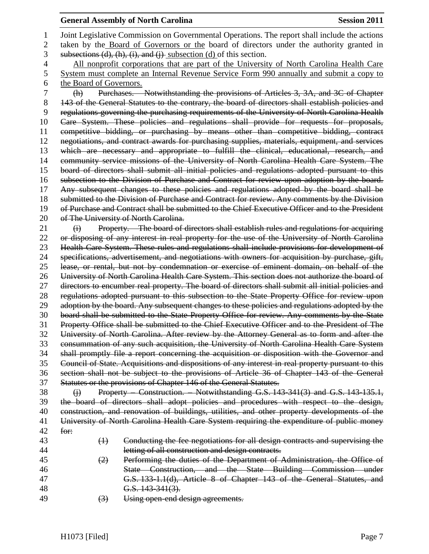## **General Assembly of North Carolina Session 2011**

 Joint Legislative Commission on Governmental Operations. The report shall include the actions 2 taken by the Board of Governors or the board of directors under the authority granted in 3 subsections  $(d)$ ,  $(h)$ ,  $(i)$ , and  $(i)$  subsection  $(d)$  of this section. 4 All nonprofit corporations that are part of the University of North Carolina Health Care System must complete an Internal Revenue Service Form 990 annually and submit a copy to the Board of Governors. (h) Purchases. – Notwithstanding the provisions of Articles 3, 3A, and 3C of Chapter 8 143 of the General Statutes to the contrary, the board of directors shall establish policies and regulations governing the purchasing requirements of the University of North Carolina Health Care System. These policies and regulations shall provide for requests for proposals, competitive bidding, or purchasing by means other than competitive bidding, contract negotiations, and contract awards for purchasing supplies, materials, equipment, and services which are necessary and appropriate to fulfill the clinical, educational, research, and community service missions of the University of North Carolina Health Care System. The board of directors shall submit all initial policies and regulations adopted pursuant to this subsection to the Division of Purchase and Contract for review upon adoption by the board. Any subsequent changes to these policies and regulations adopted by the board shall be 18 submitted to the Division of Purchase and Contract for review. Any comments by the Division of Purchase and Contract shall be submitted to the Chief Executive Officer and to the President 20 of The University of North Carolina. 21 (i) Property. – The board of directors shall establish rules and regulations for acquiring or disposing of any interest in real property for the use of the University of North Carolina Health Care System. These rules and regulations shall include provisions for development of specifications, advertisement, and negotiations with owners for acquisition by purchase, gift, lease, or rental, but not by condemnation or exercise of eminent domain, on behalf of the University of North Carolina Health Care System. This section does not authorize the board of directors to encumber real property. The board of directors shall submit all initial policies and regulations adopted pursuant to this subsection to the State Property Office for review upon 29 adoption by the board. Any subsequent changes to these policies and regulations adopted by the board shall be submitted to the State Property Office for review. Any comments by the State Property Office shall be submitted to the Chief Executive Officer and to the President of The University of North Carolina. After review by the Attorney General as to form and after the consummation of any such acquisition, the University of North Carolina Health Care System shall promptly file a report concerning the acquisition or disposition with the Governor and Council of State. Acquisitions and dispositions of any interest in real property pursuant to this section shall not be subject to the provisions of Article 36 of Chapter 143 of the General Statutes or the provisions of Chapter 146 of the General Statutes. 38 (i) Property Construction. Notwithstanding G.S. 143-341(3) and G.S. 143-135.1, the board of directors shall adopt policies and procedures with respect to the design, construction, and renovation of buildings, utilities, and other property developments of the University of North Carolina Health Care System requiring the expenditure of public money for: (1) Conducting the fee negotiations for all design contracts and supervising the letting of all construction and design contracts. (2) Performing the duties of the Department of Administration, the Office of State Construction, and the State Building Commission under G.S. 133-1.1(d), Article 8 of Chapter 143 of the General Statutes, and G.S. 143-341(3). 49 (3) Using open-end design agreements.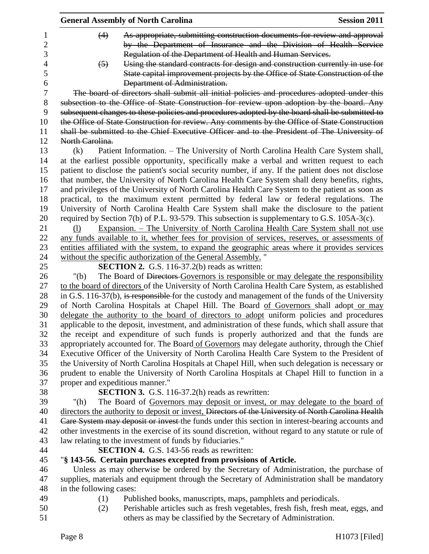|                                 | <b>General Assembly of North Carolina</b>                                                           | <b>Session 2011</b> |
|---------------------------------|-----------------------------------------------------------------------------------------------------|---------------------|
| (4)                             | As appropriate, submitting construction documents for review and approval                           |                     |
|                                 | by the Department of Insurance and the Division of Health Service                                   |                     |
|                                 | Regulation of the Department of Health and Human Services.                                          |                     |
| $\left(5\right)$                | Using the standard contracts for design and construction currently in use for                       |                     |
|                                 | State capital improvement projects by the Office of State Construction of the                       |                     |
|                                 | Department of Administration.                                                                       |                     |
|                                 | The board of directors shall submit all initial policies and procedures adopted under this          |                     |
|                                 | subsection to the Office of State Construction for review upon adoption by the board. Any           |                     |
|                                 | subsequent changes to these policies and procedures adopted by the board shall be submitted to      |                     |
|                                 | the Office of State Construction for review. Any comments by the Office of State Construction       |                     |
|                                 | shall be submitted to the Chief Executive Officer and to the President of The University of         |                     |
| North Carolina.                 |                                                                                                     |                     |
| (k)                             | Patient Information. - The University of North Carolina Health Care System shall,                   |                     |
|                                 | at the earliest possible opportunity, specifically make a verbal and written request to each        |                     |
|                                 | patient to disclose the patient's social security number, if any. If the patient does not disclose  |                     |
|                                 | that number, the University of North Carolina Health Care System shall deny benefits, rights,       |                     |
|                                 | and privileges of the University of North Carolina Health Care System to the patient as soon as     |                     |
|                                 | practical, to the maximum extent permitted by federal law or federal regulations. The               |                     |
|                                 | University of North Carolina Health Care System shall make the disclosure to the patient            |                     |
|                                 | required by Section 7(b) of P.L. 93-579. This subsection is supplementary to G.S. 105A-3(c).        |                     |
| (1)                             | <u>Expansion. – The University of North Carolina Health Care System shall not use</u>               |                     |
|                                 | any funds available to it, whether fees for provision of services, reserves, or assessments of      |                     |
|                                 | entities affiliated with the system, to expand the geographic areas where it provides services      |                     |
|                                 | without the specific authorization of the General Assembly."                                        |                     |
|                                 | <b>SECTION 2.</b> G.S. 116-37.2(b) reads as written:                                                |                     |
| "(b)                            | The Board of Directors Governors is responsible or may delegate the responsibility                  |                     |
|                                 | to the board of directors of the University of North Carolina Health Care System, as established    |                     |
|                                 | in G.S. 116-37(b), is responsible for the custody and management of the funds of the University     |                     |
|                                 | of North Carolina Hospitals at Chapel Hill. The Board of Governors shall adopt or may               |                     |
|                                 | delegate the authority to the board of directors to adopt uniform policies and procedures           |                     |
|                                 | applicable to the deposit, investment, and administration of these funds, which shall assure that   |                     |
|                                 | the receipt and expenditure of such funds is properly authorized and that the funds are             |                     |
|                                 | appropriately accounted for. The Board of Governors may delegate authority, through the Chief       |                     |
|                                 | Executive Officer of the University of North Carolina Health Care System to the President of        |                     |
|                                 | the University of North Carolina Hospitals at Chapel Hill, when such delegation is necessary or     |                     |
|                                 | prudent to enable the University of North Carolina Hospitals at Chapel Hill to function in a        |                     |
| proper and expeditious manner." |                                                                                                     |                     |
|                                 | <b>SECTION 3.</b> G.S. 116-37.2(h) reads as rewritten:                                              |                     |
| " $(h)$                         | The Board of Governors may deposit or invest, or may delegate to the board of                       |                     |
|                                 | directors the authority to deposit or invest, Directors of the University of North Carolina Health  |                     |
|                                 | Care System may deposit or invest the funds under this section in interest-bearing accounts and     |                     |
|                                 | other investments in the exercise of its sound discretion, without regard to any statute or rule of |                     |
|                                 | law relating to the investment of funds by fiduciaries."                                            |                     |
|                                 | <b>SECTION 4.</b> G.S. 143-56 reads as rewritten:                                                   |                     |
|                                 | "§ 143-56. Certain purchases excepted from provisions of Article.                                   |                     |
|                                 | Unless as may otherwise be ordered by the Secretary of Administration, the purchase of              |                     |
|                                 | supplies, materials and equipment through the Secretary of Administration shall be mandatory        |                     |
| in the following cases:         |                                                                                                     |                     |
| (1)                             | Published books, manuscripts, maps, pamphlets and periodicals.                                      |                     |
| (2)                             | Perishable articles such as fresh vegetables, fresh fish, fresh meat, eggs, and                     |                     |
|                                 | others as may be classified by the Secretary of Administration.                                     |                     |